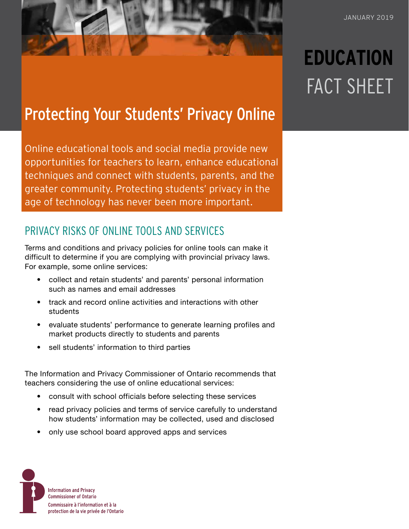# **EDUCATION** FACT SHEET

## Protecting Your Students' Privacy Online

Online educational tools and social media provide new opportunities for teachers to learn, enhance educational techniques and connect with students, parents, and the greater community. Protecting students' privacy in the age of technology has never been more important.

## PRIVACY RISKS OF ONLINE TOOLS AND SERVICES

Terms and conditions and privacy policies for online tools can make it difficult to determine if you are complying with provincial privacy laws. For example, some online services:

- collect and retain students' and parents' personal information such as names and email addresses
- track and record online activities and interactions with other students
- evaluate students' performance to generate learning profiles and market products directly to students and parents
- sell students' information to third parties

The Information and Privacy Commissioner of Ontario recommends that teachers considering the use of online educational services:

- consult with school officials before selecting these services
- read privacy policies and terms of service carefully to understand how students' information may be collected, used and disclosed
- only use school board approved apps and services